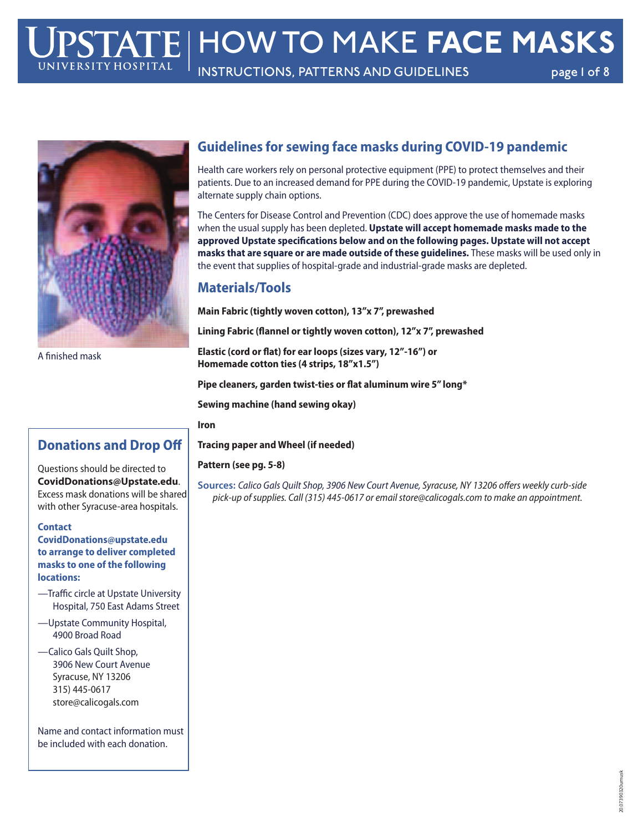# HOW TO MAKE **FACE MASKS**

INSTRUCTIONS, PATTERNS AND GUIDELINES page 1 of 8



A finished mask

## **Guidelines for sewing face masks during COVID-19 pandemic**

Health care workers rely on personal protective equipment (PPE) to protect themselves and their patients. Due to an increased demand for PPE during the COVID-19 pandemic, Upstate is exploring alternate supply chain options.

The Centers for Disease Control and Prevention (CDC) does approve the use of homemade masks when the usual supply has been depleted. **Upstate will accept homemade masks made to the approved Upstate specifications below and on the following pages. Upstate will not accept masks that are square or are made outside of these guidelines.** These masks will be used only in the event that supplies of hospital-grade and industrial-grade masks are depleted.

#### **Materials/Tools**

**Main Fabric (tightly woven cotton), 13"x 7", prewashed**

**Lining Fabric (flannel or tightly woven cotton), 12"x 7", prewashed**

**Elastic (cord or flat) for ear loops (sizes vary, 12"-16") or Homemade cotton ties (4 strips, 18"x1.5")**

**Pipe cleaners, garden twist-ties or flat aluminum wire 5" long\***

**Sewing machine (hand sewing okay)**

**Iron**

**Tracing paper and Wheel (if needed)**

#### **Pattern (see pg. 5-8)**

**Sources:** Calico Gals Quilt Shop, 3906 New Court Avenue, Syracuse, NY 13206 offers weekly curb-side pick-up of supplies. Call (315) 445-0617 or email store@calicogals.com to make an appointment.

# **Donations and Drop Off**

Questions should be directed to **CovidDonations@Upstate.edu**. Excess mask donations will be shared with other Syracuse-area hospitals.

**Contact**

**CovidDonations@upstate.edu to arrange to deliver completed masks to one of the following locations:**

- —Traffic circle at Upstate University Hospital, 750 East Adams Street
- —Upstate Community Hospital, 4900 Broad Road
- —Calico Gals Quilt Shop, 3906 New Court Avenue Syracuse, NY 13206 315) 445-0617 store@calicogals.com

Name and contact information must be included with each donation.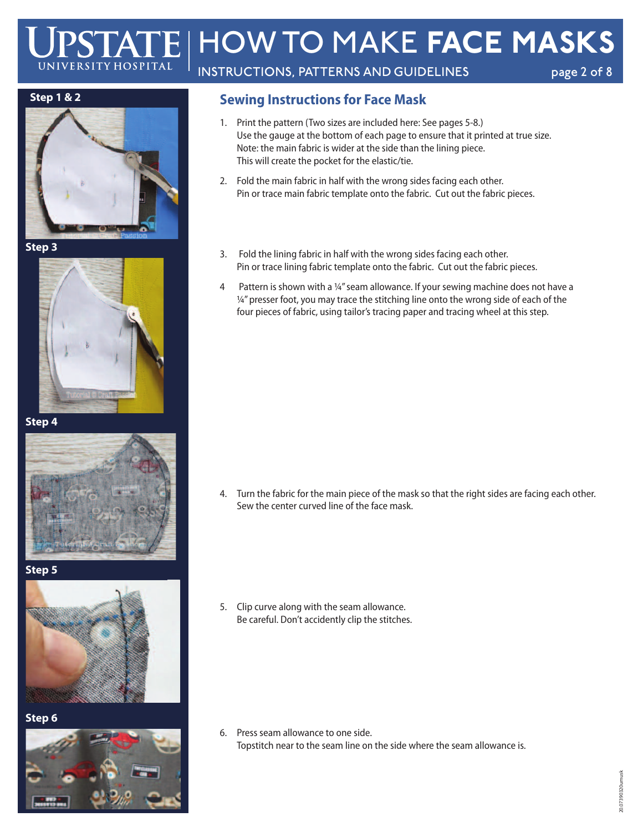# HOW TO MAKE **FACE MASKS** UNIVERSITY HOSPITAI INSTRUCTIONS, PATTERNS AND GUIDELINES page 2 of 8

#### **Step 1 & 2**



**Step 3**



**Step 4**



**Step 5**



**Step 6**



## **Sewing Instructions for Face Mask**

- 1. Print the pattern (Two sizes are included here: See pages 5-8.) Use the gauge at the bottom of each page to ensure that it printed at true size. Note: the main fabric is wider at the side than the lining piece. This will create the pocket for the elastic/tie.
- 2. Fold the main fabric in half with the wrong sides facing each other. Pin or trace main fabric template onto the fabric. Cut out the fabric pieces.
- 3. Fold the lining fabric in half with the wrong sides facing each other. Pin or trace lining fabric template onto the fabric. Cut out the fabric pieces.
- 4 Pattern is shown with a ¼"seam allowance. If your sewing machine does not have a  $\frac{1}{4}$ " presser foot, you may trace the stitching line onto the wrong side of each of the four pieces of fabric, using tailor's tracing paper and tracing wheel at this step.

4. Turn the fabric for the main piece of the mask so that the right sides are facing each other. Sew the center curved line of the face mask.

5. Clip curve along with the seam allowance. Be careful. Don't accidently clip the stitches.

6. Press seam allowance to one side. Topstitch near to the seam line on the side where the seam allowance is.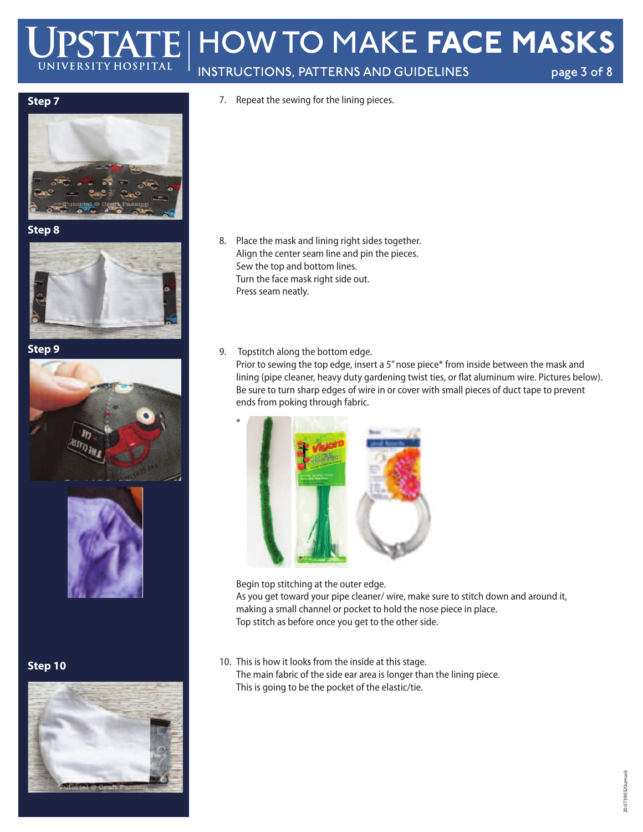# HOW TO MAKE **FACE MASKS** UNIVERSITY HOSPITAL INSTRUCTIONS, PATTERNS AND GUIDELINES page 3 of 8

- 
- 7. Repeat the sewing for the lining pieces.



**Step 8**



**Step 9**





**Step 10**



- 8. Place the mask and lining right sides together. Align the center seam line and pin the pieces. Sew the top and bottom lines. Turn the face mask right side out. Press seam neatly.
- 9. Topstitch along the bottom edge.

Prior to sewing the top edge, insert a 5" nose piece\* from inside between the mask and lining (pipe cleaner, heavy duty gardening twist ties, or flat aluminum wire. Pictures below). Be sure to turn sharp edges of wire in or cover with small pieces of duct tape to prevent ends from poking through fabric.



 Begin top stitching at the outer edge. As you get toward your pipe cleaner/ wire, make sure to stitch down and around it, making a small channel or pocket to hold the nose piece in place. Top stitch as before once you get to the other side.

10. This is how it looks from the inside at this stage. The main fabric of the side ear area is longer than the lining piece. This is going to be the pocket of the elastic/tie.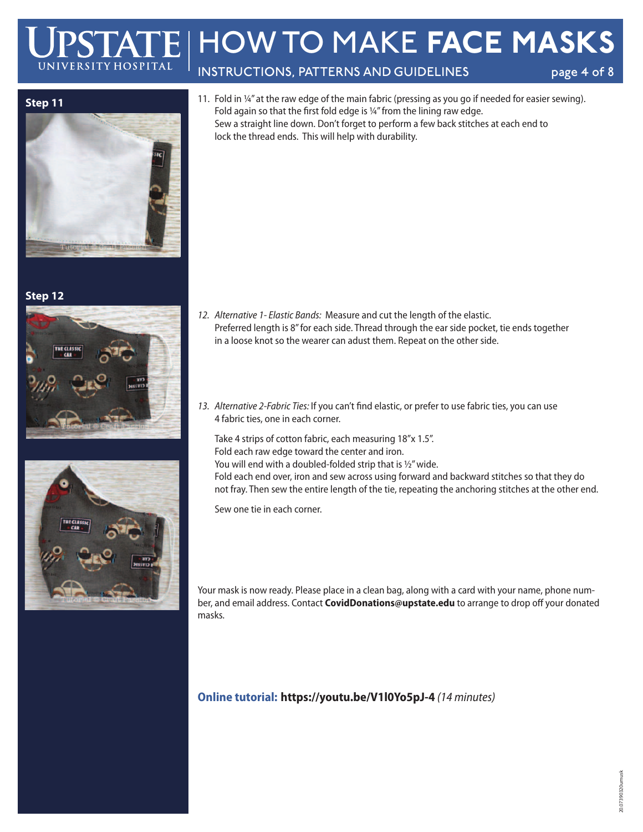# HOW TO MAKE **FACE MASKS** UNIVERSITY HOSPITAI INSTRUCTIONS, PATTERNS AND GUIDELINES page 4 of 8

**Step 11**

**Step 12**





11. Fold in ¼" at the raw edge of the main fabric (pressing as you go if needed for easier sewing). Fold again so that the first fold edge is ¼"from the lining raw edge. Sew a straight line down. Don't forget to perform a few back stitches at each end to lock the thread ends. This will help with durability.

- 12. Alternative 1- Elastic Bands: Measure and cut the length of the elastic. Preferred length is 8"for each side. Thread through the ear side pocket, tie ends together in a loose knot so the wearer can adust them. Repeat on the other side.
- 13. Alternative 2-Fabric Ties: If you can't find elastic, or prefer to use fabric ties, you can use 4 fabric ties, one in each corner.

 Take 4 strips of cotton fabric, each measuring 18"x 1.5". Fold each raw edge toward the center and iron. You will end with a doubled-folded strip that is 1/2" wide. Fold each end over, iron and sew across using forward and backward stitches so that they do not fray. Then sew the entire length of the tie, repeating the anchoring stitches at the other end.

Sew one tie in each corner.

Your mask is now ready. Please place in a clean bag, along with a card with your name, phone number, and email address. Contact **CovidDonations@upstate.edu** to arrange to drop off your donated masks.

# **Online tutorial: https://youtu.be/V1l0Yo5pJ-4** (14 minutes)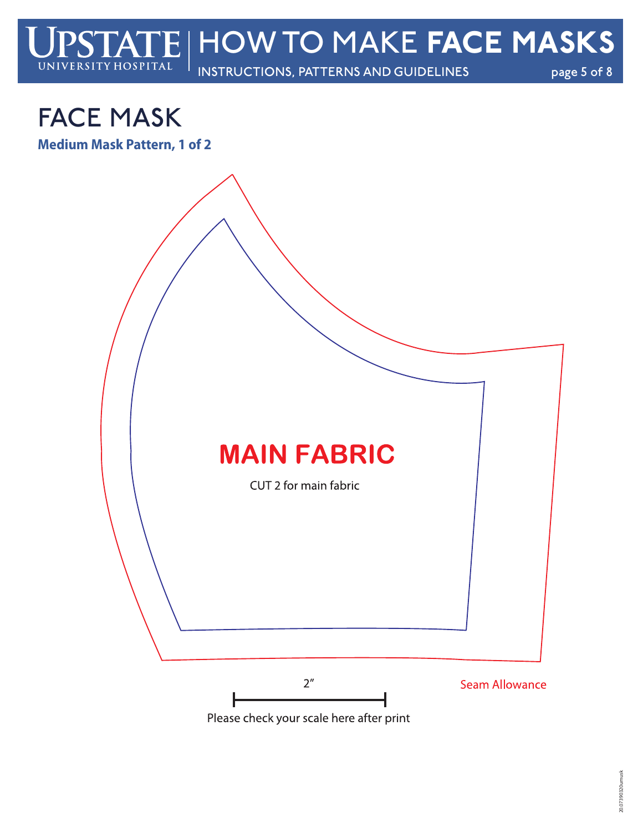

# FACE MASK

**Medium Mask Pattern, 1 of 2**



Please check your scale here after print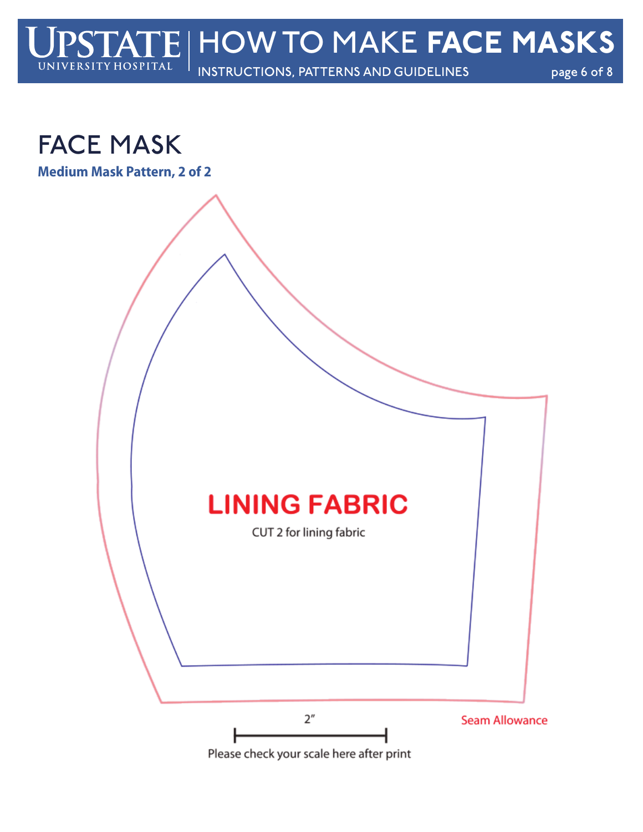



**Medium Mask Pattern, 2 of 2**

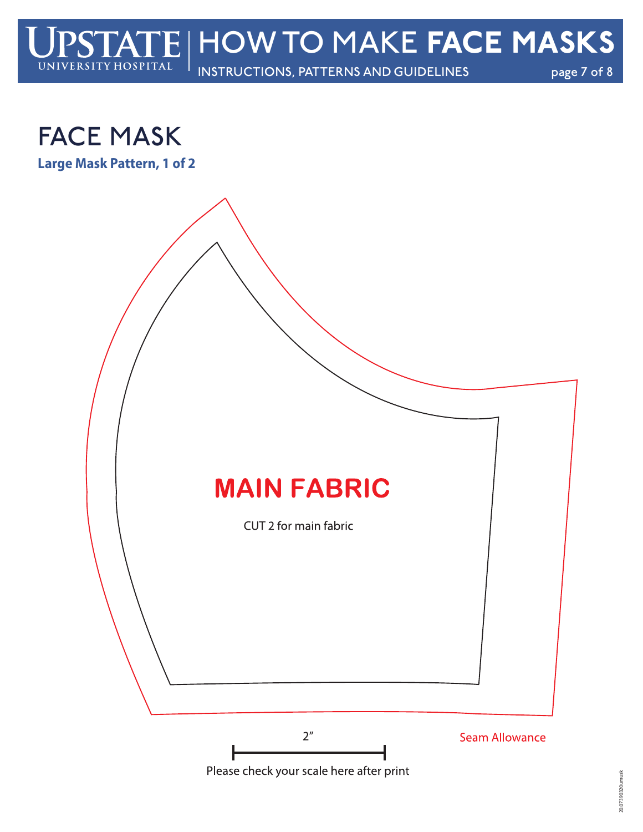



**Large Mask Pattern, 1 of 2**